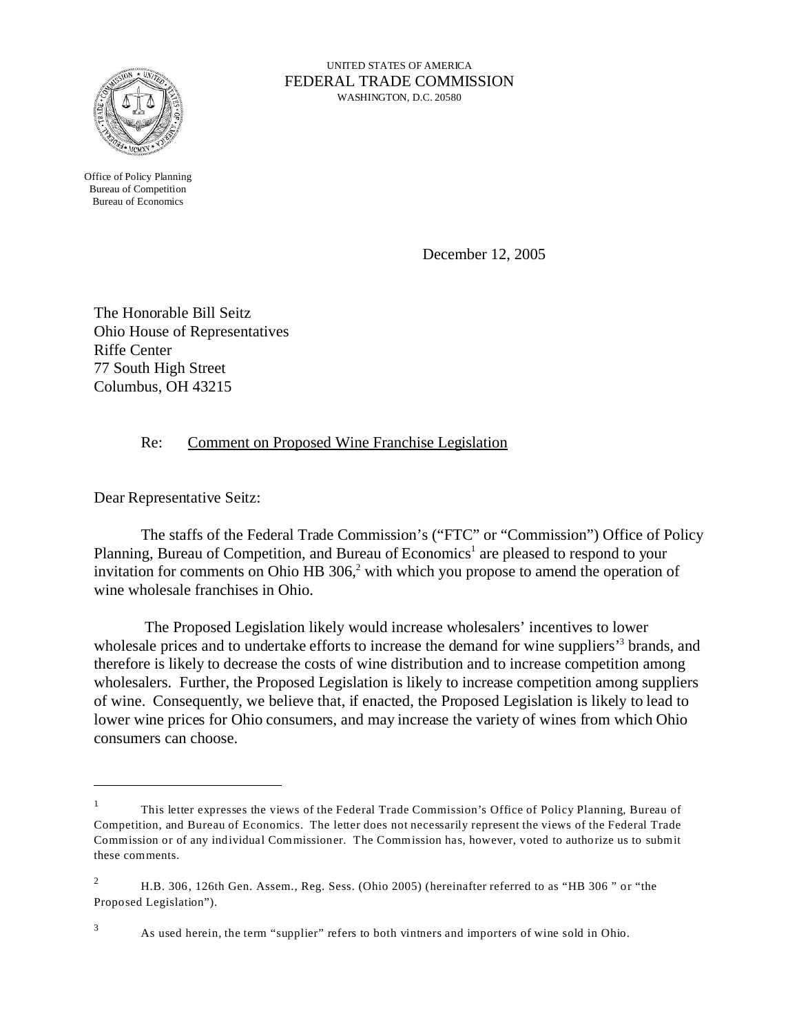

UNITED STATES OF AMERICA FEDERAL TRADE COMMISSION WASHINGTON, D.C. 20580

Office of Policy Planning Bureau of Competition Bureau of Economics

December 12, 2005

The Honorable Bill Seitz Ohio House of Representatives Riffe Center 77 South High Street Columbus, OH 43215

## Re: Comment on Proposed Wine Franchise Legislation

Dear Representative Seitz:

The staffs of the Federal Trade Commission's ("FTC" or "Commission") Office of Policy Planning, Bureau of Competition, and Bureau of Economics<sup>1</sup> are pleased to respond to your invitation for comments on Ohio HB  $306<sup>2</sup>$  with which you propose to amend the operation of wine wholesale franchises in Ohio.

 The Proposed Legislation likely would increase wholesalers' incentives to lower wholesale prices and to undertake efforts to increase the demand for wine suppliers<sup>3</sup> brands, and therefore is likely to decrease the costs of wine distribution and to increase competition among wholesalers. Further, the Proposed Legislation is likely to increase competition among suppliers of wine. Consequently, we believe that, if enacted, the Proposed Legislation is likely to lead to lower wine prices for Ohio consumers, and may increase the variety of wines from which Ohio consumers can choose.

<sup>1</sup> This letter expresses the views of the Federal Trade Commission's Office of Policy Planning, Bureau of Competition, and Bureau of Economics. The letter does not necessarily represent the views of the Federal Trade Commission or of any individual Commissioner. The Commission has, however, voted to authorize us to submit these comments.

<sup>&</sup>lt;sup>2</sup> H.B. 306, 126th Gen. Assem., Reg. Sess. (Ohio 2005) (hereinafter referred to as "HB 306" or "the Proposed Legislation").

<sup>3</sup> As used herein, the term "supplier" refers to both vintners and importers of wine sold in Ohio.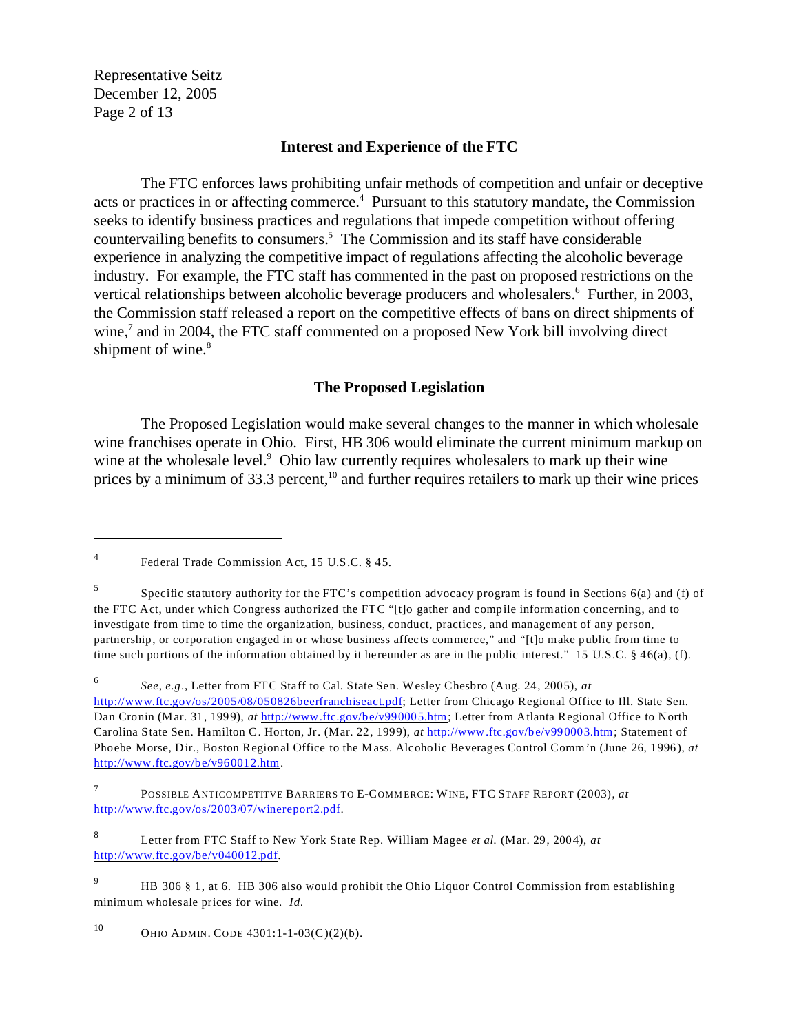Representative Seitz December 12, 2005 Page 2 of 13

## **Interest and Experience of the FTC**

The FTC enforces laws prohibiting unfair methods of competition and unfair or deceptive acts or practices in or affecting commerce.<sup>4</sup> Pursuant to this statutory mandate, the Commission seeks to identify business practices and regulations that impede competition without offering countervailing benefits to consumers.<sup>5</sup> The Commission and its staff have considerable experience in analyzing the competitive impact of regulations affecting the alcoholic beverage industry. For example, the FTC staff has commented in the past on proposed restrictions on the vertical relationships between alcoholic beverage producers and wholesalers.<sup>6</sup> Further, in 2003, the Commission staff released a report on the competitive effects of bans on direct shipments of wine,<sup>7</sup> and in 2004, the FTC staff commented on a proposed New York bill involving direct shipment of wine.<sup>8</sup>

#### **The Proposed Legislation**

The Proposed Legislation would make several changes to the manner in which wholesale wine franchises operate in Ohio. First, HB 306 would eliminate the current minimum markup on wine at the wholesale level.<sup>9</sup> Ohio law currently requires wholesalers to mark up their wine prices by a minimum of  $33.3$  percent,<sup>10</sup> and further requires retailers to mark up their wine prices

<sup>6</sup>*See*, *e.g*., Letter from FTC Staff to Cal. State Sen. Wesley Chesbro (Aug. 24, 2005), *at*  <http://www.ftc.gov/os/2005/08/050826beerfranchiseact.pdf>; Letter from Chicago Regional Office to Ill. State Sen. Dan Cronin (Mar. 31, 1999), *at* <http://www.ftc.gov/be/v990005.htm>; Letter from Atlanta Regional Office to North Carolina State Sen. Hamilton C. Horton, Jr. (Mar. 22, 1999), *at* <http://www.ftc.gov/be/v990003.htm>; Statement of Phoebe Morse, Dir., Boston Regional Office to the Mass. Alcoholic Beverages Control Comm'n (June 26, 1996), *at*  [http://www.ftc.gov/be/v960012.htm](http://www.ftc.gov/be/v960012.htm.).

7 [http://www.ftc.gov/os/2003/07/winereport2.pdf](http://www.ftc.gov/os/2003/07/winereport2.pdf.). POSSIBLE ANTICOMPETITVE BARRIERS TO E-COMMERCE: WINE, FTC STAFF REPORT (2003), at

8 Letter from FTC Staff to New York State Rep. William Magee *et al.* (Mar. 29, 2004), *at*  [http://www.ftc.gov/be/v040012.pdf](http://www.ftc.gov/be/v040012.pdf.).

10 OHIO ADMIN. CODE  $4301:1-1-03(C)(2)(b)$ .

<sup>4</sup> Federal Trade Commission Act, 15 U.S.C. § 45.

<sup>5</sup> Specific statutory authority for the FTC's competition advocacy program is found in Sections 6(a) and (f) of the FTC Act, under which Congress authorized the FTC "[t]o gather and compile information concerning, and to investigate from time to time the organization, business, conduct, practices, and management of any person, partnership, or corporation engaged in or whose business affects commerce," and "[t]o make public from time to time such portions of the information obtained by it hereunder as are in the public interest." 15 U.S.C.  $\S$  46(a), (f).

<sup>&</sup>lt;sup>9</sup> HB 306 § 1, at 6. HB 306 also would prohibit the Ohio Liquor Control Commission from establishing minimum wholesale prices for wine. *Id.*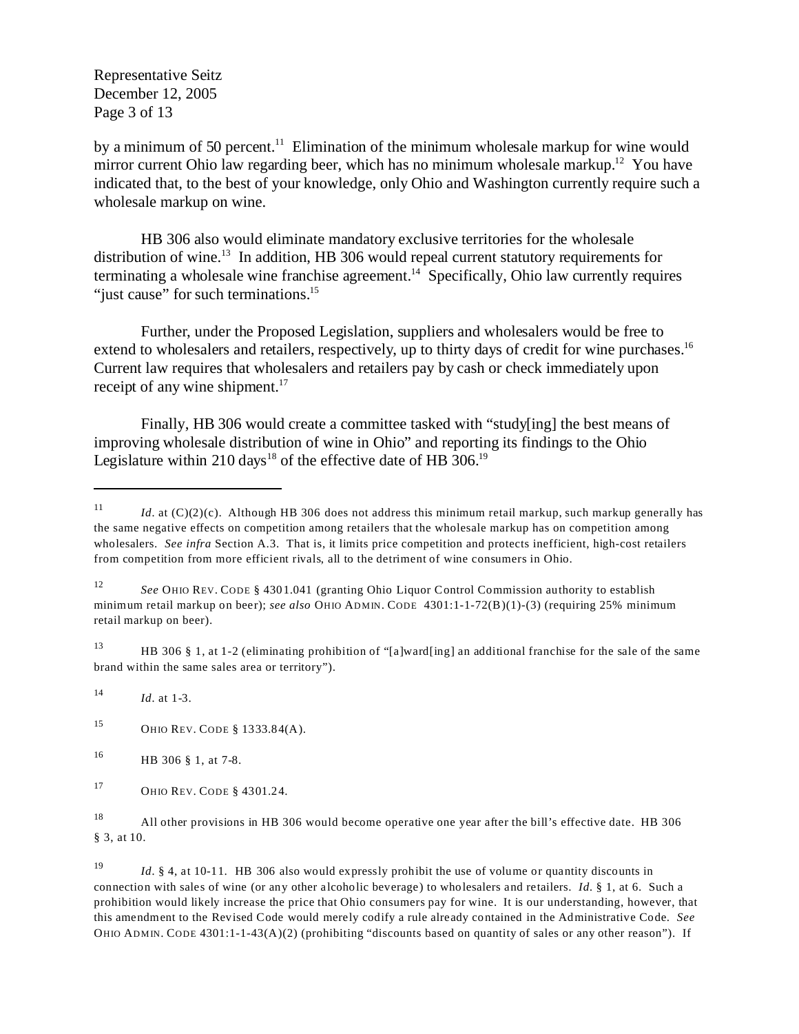Representative Seitz December 12, 2005 Page 3 of 13

by a minimum of 50 percent.<sup>11</sup> Elimination of the minimum wholesale markup for wine would mirror current Ohio law regarding beer, which has no minimum wholesale markup.<sup>12</sup> You have indicated that, to the best of your knowledge, only Ohio and Washington currently require such a wholesale markup on wine.

HB 306 also would eliminate mandatory exclusive territories for the wholesale distribution of wine.<sup>13</sup> In addition, HB 306 would repeal current statutory requirements for terminating a wholesale wine franchise agreement.<sup>14</sup> Specifically, Ohio law currently requires "just cause" for such terminations.<sup>15</sup>

Further, under the Proposed Legislation, suppliers and wholesalers would be free to extend to wholesalers and retailers, respectively, up to thirty days of credit for wine purchases.<sup>16</sup> Current law requires that wholesalers and retailers pay by cash or check immediately upon receipt of any wine shipment.<sup>17</sup>

Finally, HB 306 would create a committee tasked with "study[ing] the best means of improving wholesale distribution of wine in Ohio" and reporting its findings to the Ohio Legislature within 210 days<sup>18</sup> of the effective date of HB 306.<sup>19</sup>

13 HB 306 § 1, at 1-2 (eliminating prohibition of "[a]ward[ing] an additional franchise for the sale of the same brand within the same sales area or territory").

<sup>14</sup>*Id.* at 1-3.

15 OHIO REV. CODE § 1333.84(A).

16 HB 306 § 1, at 7-8.

<sup>&</sup>lt;sup>11</sup> *Id.* at (C)(2)(c). Although HB 306 does not address this minimum retail markup, such markup generally has the same negative effects on competition among retailers that the wholesale markup has on competition among wholesalers. *See infra* Section A.3. That is, it limits price competition and protects inefficient, high-cost retailers from competition from more efficient rivals, all to the detriment of wine consumers in Ohio.

<sup>12</sup>*See* OHIO REV. CODE § 4301.041 (granting Ohio Liquor Control Commission authority to establish minimum retail markup on beer); *see also* OHIO ADMIN. CODE 4301:1-1-72(B)(1)-(3) (requiring 25% minimum retail markup on beer).

<sup>17</sup> OHIO REV. CODE § 4301.24.

<sup>18</sup> All other provisions in HB 306 would become operative one year after the bill's effective date. HB 306 § 3, at 10.

<sup>19</sup>*Id.* § 4, at 10-11. HB 306 also would expressly prohibit the use of volume or quantity discounts in connection with sales of wine (or any other alcoholic beverage) to wholesalers and retailers. *Id.* § 1, at 6. Such a prohibition would likely increase the price that Ohio consumers pay for wine. It is our understanding, however, that this amendment to the Revised Code would merely codify a rule already contained in the Administrative Code. *See*  OHIO ADMIN. CODE  $4301:1-1-43(A)(2)$  (prohibiting "discounts based on quantity of sales or any other reason"). If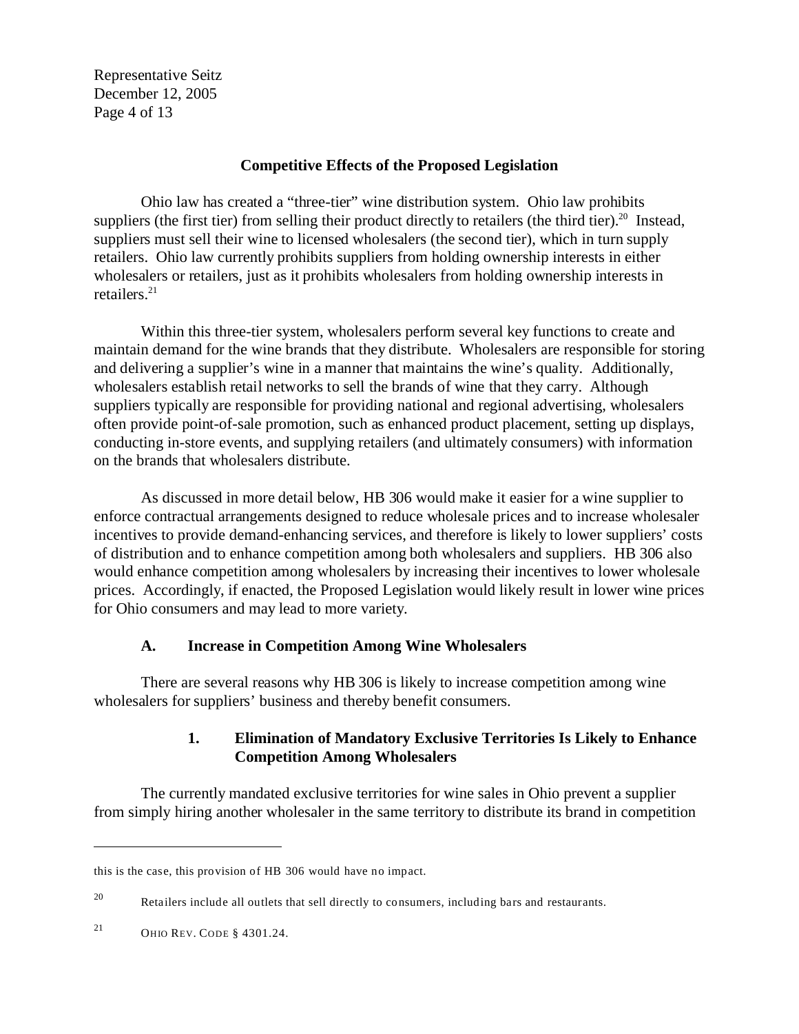Representative Seitz December 12, 2005 Page 4 of 13

#### **Competitive Effects of the Proposed Legislation**

Ohio law has created a "three-tier" wine distribution system. Ohio law prohibits suppliers (the first tier) from selling their product directly to retailers (the third tier).<sup>20</sup> Instead, suppliers must sell their wine to licensed wholesalers (the second tier), which in turn supply retailers. Ohio law currently prohibits suppliers from holding ownership interests in either wholesalers or retailers, just as it prohibits wholesalers from holding ownership interests in retailers. $^{21}$ 

Within this three-tier system, wholesalers perform several key functions to create and maintain demand for the wine brands that they distribute. Wholesalers are responsible for storing and delivering a supplier's wine in a manner that maintains the wine's quality. Additionally, wholesalers establish retail networks to sell the brands of wine that they carry. Although suppliers typically are responsible for providing national and regional advertising, wholesalers often provide point-of-sale promotion, such as enhanced product placement, setting up displays, conducting in-store events, and supplying retailers (and ultimately consumers) with information on the brands that wholesalers distribute.

As discussed in more detail below, HB 306 would make it easier for a wine supplier to enforce contractual arrangements designed to reduce wholesale prices and to increase wholesaler incentives to provide demand-enhancing services, and therefore is likely to lower suppliers' costs of distribution and to enhance competition among both wholesalers and suppliers. HB 306 also would enhance competition among wholesalers by increasing their incentives to lower wholesale prices. Accordingly, if enacted, the Proposed Legislation would likely result in lower wine prices for Ohio consumers and may lead to more variety.

## **A. Increase in Competition Among Wine Wholesalers**

There are several reasons why HB 306 is likely to increase competition among wine wholesalers for suppliers' business and thereby benefit consumers.

## **1. Elimination of Mandatory Exclusive Territories Is Likely to Enhance Competition Among Wholesalers**

The currently mandated exclusive territories for wine sales in Ohio prevent a supplier from simply hiring another wholesaler in the same territory to distribute its brand in competition

this is the case, this provision of HB 306 would have no impact.

 $20$  Retailers include all outlets that sell directly to consumers, including bars and restaurants.

<sup>21</sup> OHIO REV. CODE § 4301.24.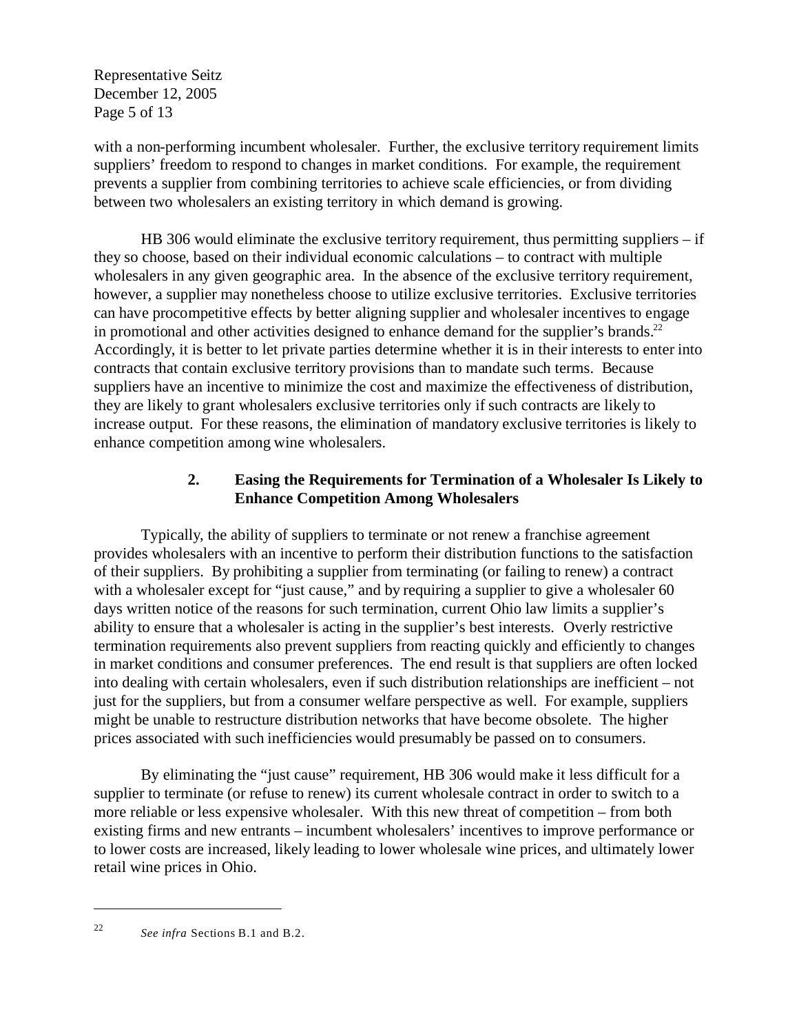Representative Seitz December 12, 2005 Page 5 of 13

with a non-performing incumbent wholesaler. Further, the exclusive territory requirement limits suppliers' freedom to respond to changes in market conditions. For example, the requirement prevents a supplier from combining territories to achieve scale efficiencies, or from dividing between two wholesalers an existing territory in which demand is growing.

HB 306 would eliminate the exclusive territory requirement, thus permitting suppliers – if they so choose, based on their individual economic calculations – to contract with multiple wholesalers in any given geographic area. In the absence of the exclusive territory requirement, however, a supplier may nonetheless choose to utilize exclusive territories. Exclusive territories can have procompetitive effects by better aligning supplier and wholesaler incentives to engage in promotional and other activities designed to enhance demand for the supplier's brands.<sup>22</sup> Accordingly, it is better to let private parties determine whether it is in their interests to enter into contracts that contain exclusive territory provisions than to mandate such terms. Because suppliers have an incentive to minimize the cost and maximize the effectiveness of distribution, they are likely to grant wholesalers exclusive territories only if such contracts are likely to increase output. For these reasons, the elimination of mandatory exclusive territories is likely to enhance competition among wine wholesalers.

## **2. Easing the Requirements for Termination of a Wholesaler Is Likely to Enhance Competition Among Wholesalers**

Typically, the ability of suppliers to terminate or not renew a franchise agreement provides wholesalers with an incentive to perform their distribution functions to the satisfaction of their suppliers. By prohibiting a supplier from terminating (or failing to renew) a contract with a wholesaler except for "just cause," and by requiring a supplier to give a wholesaler 60 days written notice of the reasons for such termination, current Ohio law limits a supplier's ability to ensure that a wholesaler is acting in the supplier's best interests. Overly restrictive termination requirements also prevent suppliers from reacting quickly and efficiently to changes in market conditions and consumer preferences. The end result is that suppliers are often locked into dealing with certain wholesalers, even if such distribution relationships are inefficient – not just for the suppliers, but from a consumer welfare perspective as well. For example, suppliers might be unable to restructure distribution networks that have become obsolete. The higher prices associated with such inefficiencies would presumably be passed on to consumers.

By eliminating the "just cause" requirement, HB 306 would make it less difficult for a supplier to terminate (or refuse to renew) its current wholesale contract in order to switch to a more reliable or less expensive wholesaler. With this new threat of competition – from both existing firms and new entrants – incumbent wholesalers' incentives to improve performance or to lower costs are increased, likely leading to lower wholesale wine prices, and ultimately lower retail wine prices in Ohio.

<sup>&</sup>lt;sup>22</sup> *See infra* Sections B.1 and B.2.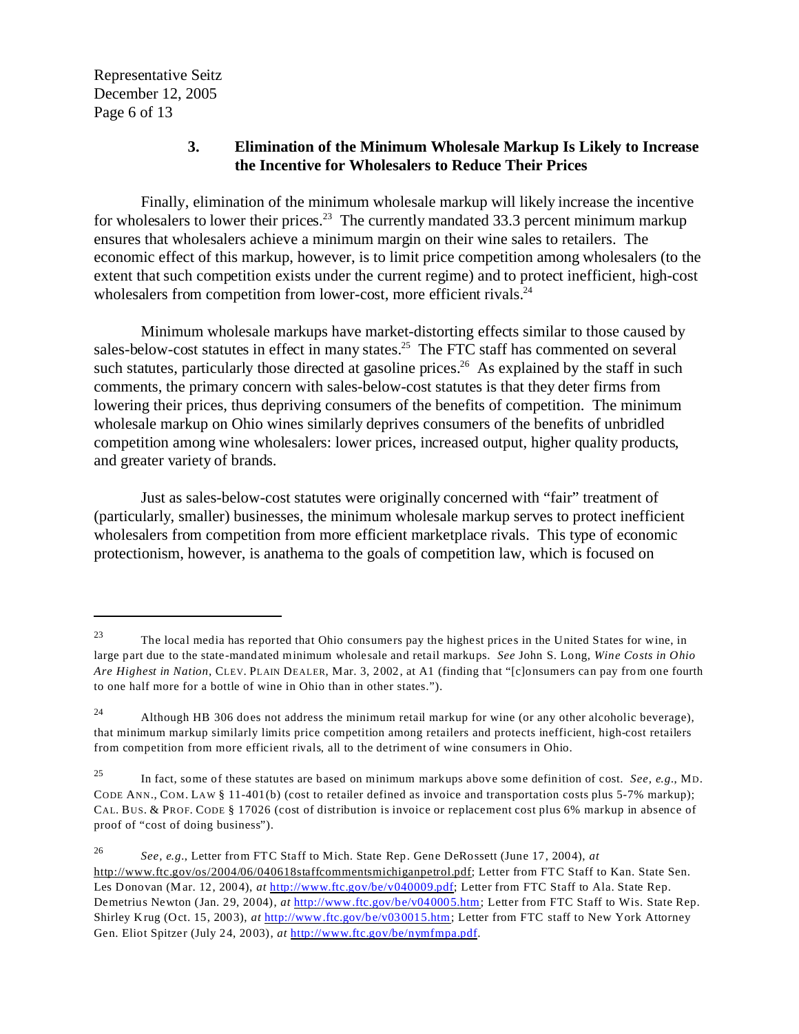Representative Seitz December 12, 2005 Page 6 of 13

### **3. Elimination of the Minimum Wholesale Markup Is Likely to Increase the Incentive for Wholesalers to Reduce Their Prices**

Finally, elimination of the minimum wholesale markup will likely increase the incentive for wholesalers to lower their prices.<sup>23</sup> The currently mandated 33.3 percent minimum markup ensures that wholesalers achieve a minimum margin on their wine sales to retailers. The economic effect of this markup, however, is to limit price competition among wholesalers (to the extent that such competition exists under the current regime) and to protect inefficient, high-cost wholesalers from competition from lower-cost, more efficient rivals.<sup>24</sup>

Minimum wholesale markups have market-distorting effects similar to those caused by sales-below-cost statutes in effect in many states.<sup>25</sup> The FTC staff has commented on several such statutes, particularly those directed at gasoline prices.<sup>26</sup> As explained by the staff in such comments, the primary concern with sales-below-cost statutes is that they deter firms from lowering their prices, thus depriving consumers of the benefits of competition. The minimum wholesale markup on Ohio wines similarly deprives consumers of the benefits of unbridled competition among wine wholesalers: lower prices, increased output, higher quality products, and greater variety of brands.

Just as sales-below-cost statutes were originally concerned with "fair" treatment of (particularly, smaller) businesses, the minimum wholesale markup serves to protect inefficient wholesalers from competition from more efficient marketplace rivals. This type of economic protectionism, however, is anathema to the goals of competition law, which is focused on

<sup>&</sup>lt;sup>23</sup> The local media has reported that Ohio consumers pay the highest prices in the United States for wine, in large part due to the state-mandated minimum wholesale and retail markups. *See* John S. Long, *Wine Costs in Ohio Are Highest in Nation*, CLEV. PLAIN DEALER, Mar. 3, 2002, at A1 (finding that "[c]onsumers can pay from one fourth to one half more for a bottle of wine in Ohio than in other states.").

<sup>&</sup>lt;sup>24</sup> Although HB 306 does not address the minimum retail markup for wine (or any other alcoholic beverage), that minimum markup similarly limits price competition among retailers and protects inefficient, high-cost retailers from competition from more efficient rivals, all to the detriment of wine consumers in Ohio.

<sup>25</sup> In fact, some of these statutes are based on minimum markups above some definition of cost. *See, e.g.*, MD. CODE ANN., COM. LAW § 11-401(b) (cost to retailer defined as invoice and transportation costs plus 5-7% markup); CAL. BUS. & PROF. CODE § 17026 (cost of distribution is invoice or replacement cost plus 6% markup in absence of proof of "cost of doing business").

<sup>26</sup>*See, e.g.*, Letter from FTC Staff to Mich. State Rep. Gene DeRossett (June 17, 2004), *at*  http://www.ftc.gov/os/2004/06/040618staffcommentsmichiganpetrol.pdf; Letter from FTC Staff to Kan. State Sen. Les Donovan (Mar. 12, 2004), *at* <http://www.ftc.gov/be/v040009.pdf>; Letter from FTC Staff to Ala. State Rep. Demetrius Newton (Jan. 29, 2004), *at* <http://www.ftc.gov/be/v040005.htm>; Letter from FTC Staff to Wis. State Rep. Shirley Krug (Oct. 15, 2003), *at* <http://www.ftc.gov/be/v030015.htm>; Letter from FTC staff to New York Attorney Gen. Eliot Spitzer (July 24, 2003), *at* <http://www.ftc.gov/be/nymfmpa.pdf>.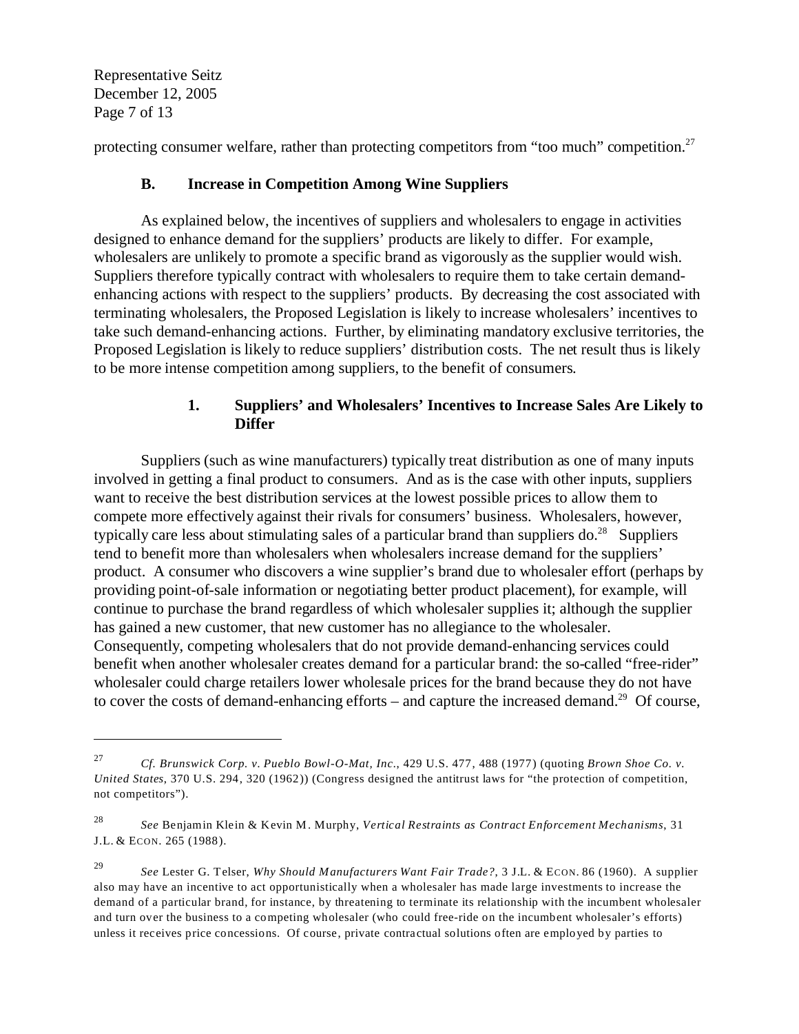Representative Seitz December 12, 2005 Page 7 of 13

protecting consumer welfare, rather than protecting competitors from "too much" competition.<sup>27</sup>

## **B. Increase in Competition Among Wine Suppliers**

As explained below, the incentives of suppliers and wholesalers to engage in activities designed to enhance demand for the suppliers' products are likely to differ. For example, wholesalers are unlikely to promote a specific brand as vigorously as the supplier would wish. Suppliers therefore typically contract with wholesalers to require them to take certain demandenhancing actions with respect to the suppliers' products. By decreasing the cost associated with terminating wholesalers, the Proposed Legislation is likely to increase wholesalers' incentives to take such demand-enhancing actions. Further, by eliminating mandatory exclusive territories, the Proposed Legislation is likely to reduce suppliers' distribution costs. The net result thus is likely to be more intense competition among suppliers, to the benefit of consumers.

# **1. Suppliers' and Wholesalers' Incentives to Increase Sales Are Likely to Differ**

Suppliers (such as wine manufacturers) typically treat distribution as one of many inputs involved in getting a final product to consumers. And as is the case with other inputs, suppliers want to receive the best distribution services at the lowest possible prices to allow them to compete more effectively against their rivals for consumers' business. Wholesalers, however, typically care less about stimulating sales of a particular brand than suppliers  $do.^{28}$  Suppliers tend to benefit more than wholesalers when wholesalers increase demand for the suppliers' product. A consumer who discovers a wine supplier's brand due to wholesaler effort (perhaps by providing point-of-sale information or negotiating better product placement), for example, will continue to purchase the brand regardless of which wholesaler supplies it; although the supplier has gained a new customer, that new customer has no allegiance to the wholesaler. Consequently, competing wholesalers that do not provide demand-enhancing services could benefit when another wholesaler creates demand for a particular brand: the so-called "free-rider" wholesaler could charge retailers lower wholesale prices for the brand because they do not have to cover the costs of demand-enhancing efforts – and capture the increased demand.<sup>29</sup> Of course,

<sup>27</sup>*Cf. Brunswick Corp. v. Pueblo Bowl-O-Mat, Inc.*, 429 U.S. 477, 488 (1977) (quoting *Brown Shoe Co. v. United States*, 370 U.S. 294, 320 (1962)) (Congress designed the antitrust laws for "the protection of competition, not competitors").

<sup>28</sup>*See* Benjamin Klein & Kevin M. Murphy, *Vertical Restraints as Contract Enforcement Mechanisms*, 31 J.L. & ECON. 265 (1988).

<sup>29</sup>*See* Lester G. Telser, *Why Should Manufacturers Want Fair Trade?*, 3 J.L. & ECON. 86 (1960). A supplier also may have an incentive to act opportunistically when a wholesaler has made large investments to increase the demand of a particular brand, for instance, by threatening to terminate its relationship with the incumbent wholesaler and turn over the business to a competing wholesaler (who could free-ride on the incumbent wholesaler's efforts) unless it receives price concessions. Of course, private contractual solutions often are employed by parties to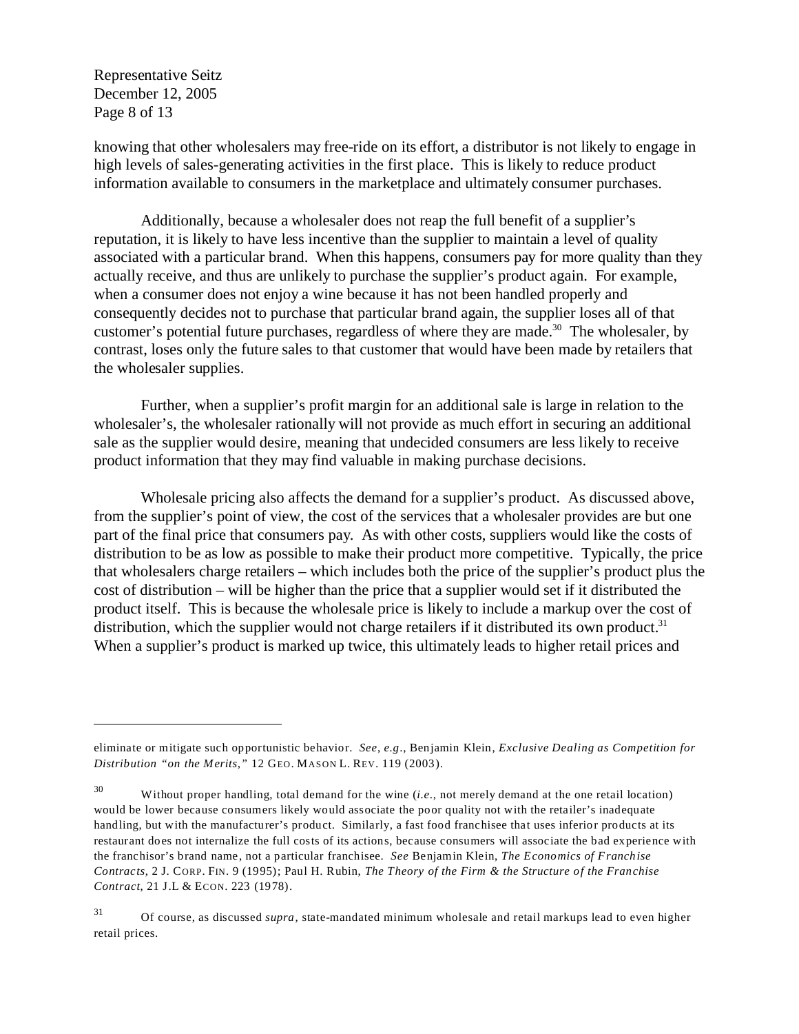Representative Seitz December 12, 2005 Page 8 of 13

knowing that other wholesalers may free-ride on its effort, a distributor is not likely to engage in high levels of sales-generating activities in the first place. This is likely to reduce product information available to consumers in the marketplace and ultimately consumer purchases.

Additionally, because a wholesaler does not reap the full benefit of a supplier's reputation, it is likely to have less incentive than the supplier to maintain a level of quality associated with a particular brand. When this happens, consumers pay for more quality than they actually receive, and thus are unlikely to purchase the supplier's product again. For example, when a consumer does not enjoy a wine because it has not been handled properly and consequently decides not to purchase that particular brand again, the supplier loses all of that customer's potential future purchases, regardless of where they are made.30 The wholesaler, by contrast, loses only the future sales to that customer that would have been made by retailers that the wholesaler supplies.

Further, when a supplier's profit margin for an additional sale is large in relation to the wholesaler's, the wholesaler rationally will not provide as much effort in securing an additional sale as the supplier would desire, meaning that undecided consumers are less likely to receive product information that they may find valuable in making purchase decisions.

Wholesale pricing also affects the demand for a supplier's product. As discussed above, from the supplier's point of view, the cost of the services that a wholesaler provides are but one part of the final price that consumers pay. As with other costs, suppliers would like the costs of distribution to be as low as possible to make their product more competitive. Typically, the price that wholesalers charge retailers – which includes both the price of the supplier's product plus the cost of distribution – will be higher than the price that a supplier would set if it distributed the product itself. This is because the wholesale price is likely to include a markup over the cost of distribution, which the supplier would not charge retailers if it distributed its own product.<sup>31</sup> When a supplier's product is marked up twice, this ultimately leads to higher retail prices and

eliminate or mitigate such opportunistic behavior. *See*, *e.g*., Benjamin Klein, *Exclusive Dealing as Competition for Distribution "on the Merits*,*"* 12 GEO. MASON L. REV. 119 (2003).

<sup>30</sup> Without proper handling, total demand for the wine (*i.e*., not merely demand at the one retail location) would be lower because consumers likely would associate the poor quality not with the retailer's inadequate handling, but with the manufacturer's product. Similarly, a fast food franchisee that uses inferior products at its restaurant does not internalize the full costs of its actions, because consumers will associate the bad experience with the franchisor's brand name, not a particular franchisee. *See* Benjamin Klein, *The Economics of Franchise Contracts*, 2 J. CORP. FIN. 9 (1995); Paul H. Rubin, *The Theory of the Firm & the Structure of the Franchise Contract*, 21 J.L & ECON. 223 (1978).

<sup>31</sup> Of course, as discussed *supra*, state-mandated minimum wholesale and retail markups lead to even higher retail prices.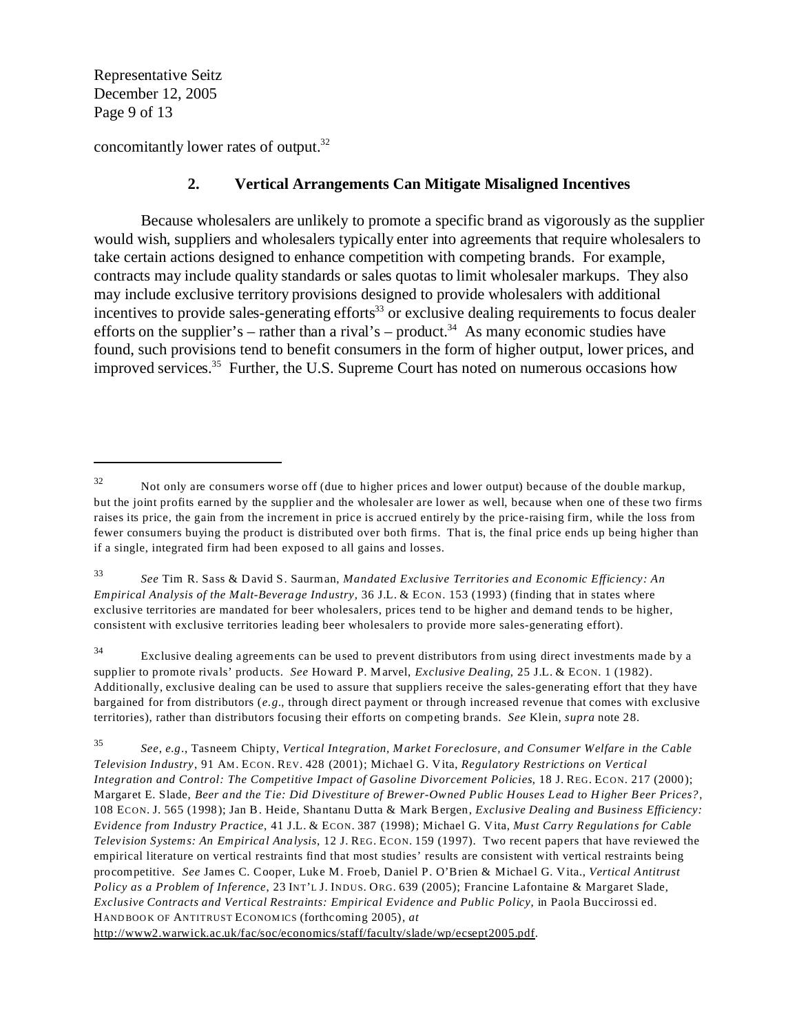Representative Seitz December 12, 2005 Page 9 of 13

concomitantly lower rates of output.32

## **2. Vertical Arrangements Can Mitigate Misaligned Incentives**

Because wholesalers are unlikely to promote a specific brand as vigorously as the supplier would wish, suppliers and wholesalers typically enter into agreements that require wholesalers to take certain actions designed to enhance competition with competing brands. For example, contracts may include quality standards or sales quotas to limit wholesaler markups. They also may include exclusive territory provisions designed to provide wholesalers with additional incentives to provide sales-generating efforts<sup>33</sup> or exclusive dealing requirements to focus dealer efforts on the supplier's – rather than a rival's – product.<sup>34</sup> As many economic studies have found, such provisions tend to benefit consumers in the form of higher output, lower prices, and improved services.<sup>35</sup> Further, the U.S. Supreme Court has noted on numerous occasions how

34 Exclusive dealing agreements can be used to prevent distributors from using direct investments made by a supplier to promote rivals' products. *See* Howard P. Marvel, *Exclusive Dealing*, 25 J.L. & ECON. 1 (1982). Additionally, exclusive dealing can be used to assure that suppliers receive the sales-generating effort that they have bargained for from distributors (*e.g.*, through direct payment or through increased revenue that comes with exclusive territories), rather than distributors focusing their efforts on competing brands. *See* Klein, *supra* note 28.

 $32$  Not only are consumers worse off (due to higher prices and lower output) because of the double markup, but the joint profits earned by the supplier and the wholesaler are lower as well, because when one of these two firms raises its price, the gain from the increment in price is accrued entirely by the price-raising firm, while the loss from fewer consumers buying the product is distributed over both firms. That is, the final price ends up being higher than if a single, integrated firm had been exposed to all gains and losses.

<sup>33</sup>*See* Tim R. Sass & David S. Saurman, *Mandated Exclusive Territories and Economic Efficiency: An Empirical Analysis of the Malt-Beverage Industry*, 36 J.L. & ECON. 153 (1993) (finding that in states where exclusive territories are mandated for beer wholesalers, prices tend to be higher and demand tends to be higher, consistent with exclusive territories leading beer wholesalers to provide more sales-generating effort).

<sup>35</sup>*See*, *e.g*., Tasneem Chipty, *Vertical Integration, Market Foreclosure, and Consumer Welfare in the Cable Television Industry*, 91 AM. ECON. REV. 428 (2001); Michael G. Vita, *Regulatory Restrictions on Vertical Integration and Control: The Competitive Impact of Gasoline Divorcement Policies*, 18 J. REG. ECON. 217 (2000); Margaret E. Slade, *Beer and the Tie: Did Divestiture of Brewer-Owned Public Houses Lead to Higher Beer Prices?*, 108 ECON. J. 565 (1998); Jan B. Heide, Shantanu Dutta & Mark Bergen, *Exclusive Dealing and Business Efficiency: Evidence from Industry Practice*, 41 J.L. & ECON. 387 (1998); Michael G. Vita, *Must Carry Regulations for Cable Television Systems: An Empirical Analysis*, 12 J. REG. ECON. 159 (1997). Two recent papers that have reviewed the empirical literature on vertical restraints find that most studies' results are consistent with vertical restraints being procompetitive. *See* James C. Cooper, Luke M. Froeb, Daniel P. O'Brien & Michael G. Vita., *Vertical Antitrust Policy as a Problem of Inference*, 23 INT'L J. INDUS. ORG. 639 (2005); Francine Lafontaine & Margaret Slade, *Exclusive Contracts and Vertical Restraints: Empirical Evidence and Public Policy*, in Paola Buccirossi ed. HAND BOO K OF ANTITRUST ECONOM ICS (forthcoming 2005), *at*  http://www2.warwick.ac.uk/fac/soc/economics/staff/faculty/slade/wp/ecsept2005.pdf.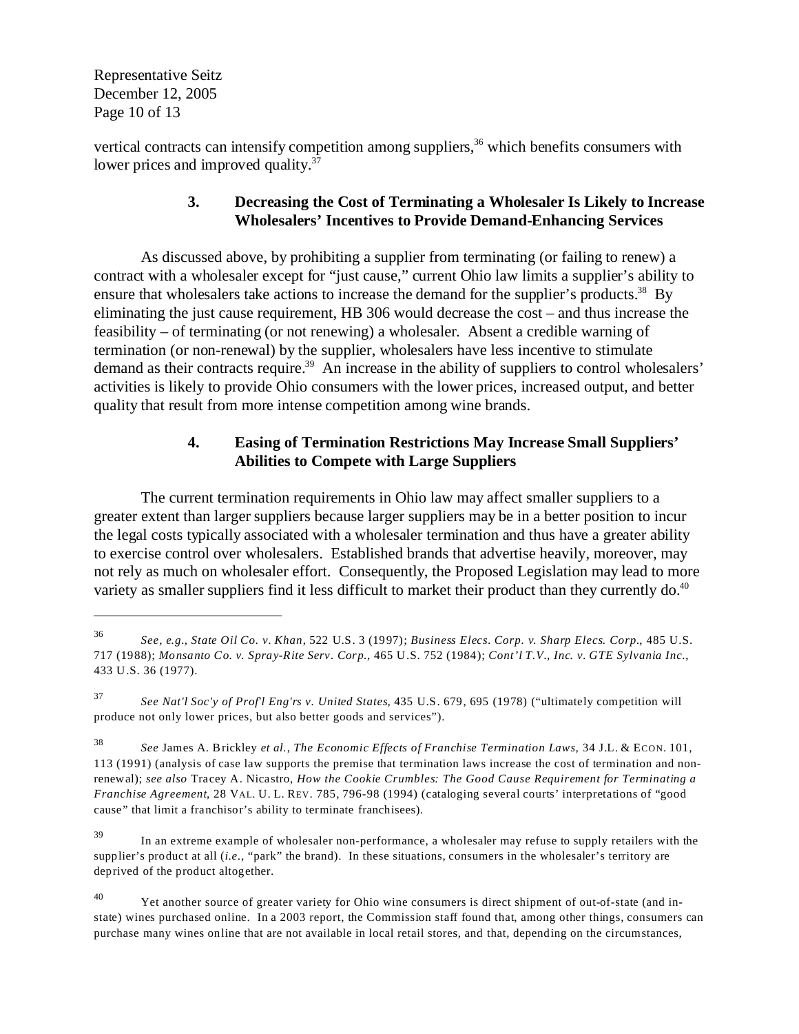Representative Seitz December 12, 2005 Page 10 of 13

vertical contracts can intensify competition among suppliers, $36$  which benefits consumers with lower prices and improved quality.<sup>37</sup>

## **3. Decreasing the Cost of Terminating a Wholesaler Is Likely to Increase Wholesalers' Incentives to Provide Demand-Enhancing Services**

As discussed above, by prohibiting a supplier from terminating (or failing to renew) a contract with a wholesaler except for "just cause," current Ohio law limits a supplier's ability to ensure that wholesalers take actions to increase the demand for the supplier's products.<sup>38</sup> By eliminating the just cause requirement, HB 306 would decrease the cost – and thus increase the feasibility – of terminating (or not renewing) a wholesaler. Absent a credible warning of termination (or non-renewal) by the supplier, wholesalers have less incentive to stimulate demand as their contracts require.<sup>39</sup> An increase in the ability of suppliers to control wholesalers' activities is likely to provide Ohio consumers with the lower prices, increased output, and better quality that result from more intense competition among wine brands.

# **4. Easing of Termination Restrictions May Increase Small Suppliers' Abilities to Compete with Large Suppliers**

The current termination requirements in Ohio law may affect smaller suppliers to a greater extent than larger suppliers because larger suppliers may be in a better position to incur the legal costs typically associated with a wholesaler termination and thus have a greater ability to exercise control over wholesalers. Established brands that advertise heavily, moreover, may not rely as much on wholesaler effort. Consequently, the Proposed Legislation may lead to more variety as smaller suppliers find it less difficult to market their product than they currently do.<sup>40</sup>

<sup>36</sup>*See, e.g.*, *State Oil Co. v. Khan*, 522 U.S. 3 (1997); *Business Elecs. Corp. v. Sharp Elecs. Corp.*, 485 U.S. 717 (1988); *Monsanto Co. v. Spray-Rite Serv. Corp.,* 465 U.S. 752 (1984); *Cont'l T.V., Inc. v. GTE Sylvania Inc*., 433 U.S. 36 (1977).

<sup>37</sup>*See Nat'l Soc'y of Prof'l Eng'rs v. United States*, 435 U.S. 679, 695 (1978) ("ultimately competition will produce not only lower prices, but also better goods and services").

<sup>38</sup>*See* James A. Brickley *et al.*, *The Economic Effects of Franchise Termination Laws*, 34 J.L. & ECON. 101, 113 (1991) (analysis of case law supports the premise that termination laws increase the cost of termination and nonrenewal); *see also* Tracey A. Nicastro, *How the Cookie Crumbles: The Good Cause Requirement for Terminating a Franchise Agreement*, 28 VAL. U. L. REV. 785, 796-98 (1994) (cataloging several courts' interpretations of "good cause" that limit a franchisor's ability to terminate franchisees).

<sup>39</sup> In an extreme example of wholesaler non-performance, a wholesaler may refuse to supply retailers with the supplier's product at all (*i.e.*, "park" the brand). In these situations, consumers in the wholesaler's territory are deprived of the product altogether.

<sup>&</sup>lt;sup>40</sup> Yet another source of greater variety for Ohio wine consumers is direct shipment of out-of-state (and instate) wines purchased online. In a 2003 report, the Commission staff found that, among other things, consumers can purchase many wines online that are not available in local retail stores, and that, depending on the circumstances,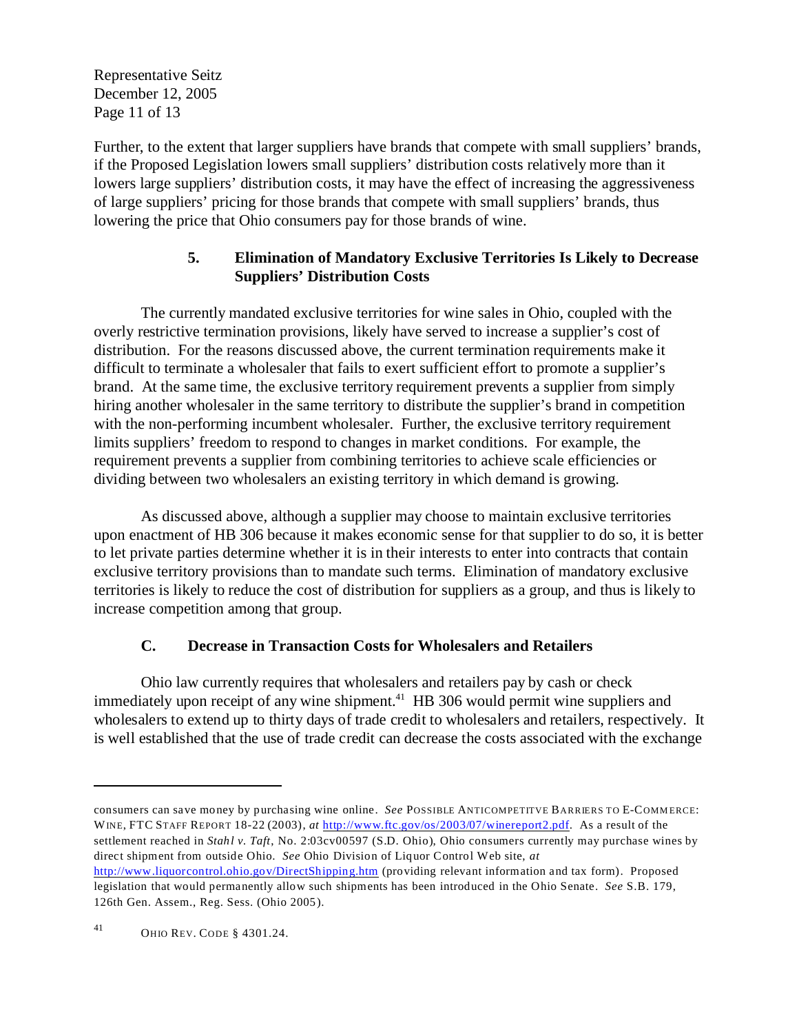Representative Seitz December 12, 2005 Page 11 of 13

Further, to the extent that larger suppliers have brands that compete with small suppliers' brands, if the Proposed Legislation lowers small suppliers' distribution costs relatively more than it lowers large suppliers' distribution costs, it may have the effect of increasing the aggressiveness of large suppliers' pricing for those brands that compete with small suppliers' brands, thus lowering the price that Ohio consumers pay for those brands of wine.

## **5. Elimination of Mandatory Exclusive Territories Is Likely to Decrease Suppliers' Distribution Costs**

The currently mandated exclusive territories for wine sales in Ohio, coupled with the overly restrictive termination provisions, likely have served to increase a supplier's cost of distribution. For the reasons discussed above, the current termination requirements make it difficult to terminate a wholesaler that fails to exert sufficient effort to promote a supplier's brand. At the same time, the exclusive territory requirement prevents a supplier from simply hiring another wholesaler in the same territory to distribute the supplier's brand in competition with the non-performing incumbent wholesaler. Further, the exclusive territory requirement limits suppliers' freedom to respond to changes in market conditions. For example, the requirement prevents a supplier from combining territories to achieve scale efficiencies or dividing between two wholesalers an existing territory in which demand is growing.

As discussed above, although a supplier may choose to maintain exclusive territories upon enactment of HB 306 because it makes economic sense for that supplier to do so, it is better to let private parties determine whether it is in their interests to enter into contracts that contain exclusive territory provisions than to mandate such terms. Elimination of mandatory exclusive territories is likely to reduce the cost of distribution for suppliers as a group, and thus is likely to increase competition among that group.

## **C. Decrease in Transaction Costs for Wholesalers and Retailers**

Ohio law currently requires that wholesalers and retailers pay by cash or check immediately upon receipt of any wine shipment.<sup>41</sup> HB 306 would permit wine suppliers and wholesalers to extend up to thirty days of trade credit to wholesalers and retailers, respectively. It is well established that the use of trade credit can decrease the costs associated with the exchange

consumers can save money by purchasing wine online. *See* POSSIBLE ANTICOMPETITVE BARRIERS TO E-COMM ERCE: W INE, FTC STAFF REPORT 18-22 (2003), *at <u>[http://www.ftc.gov/os/2003/07/winereport2.pdf](http://www.ftc.gov/os/2003/07/winereport2.pdf.)</u> . As a result of the* settlement reached in *Stahl v. Taft*, No. 2:03cv00597 (S.D. Ohio), Ohio consumers currently may purchase wines by direct shipment from outside Ohio. *See* Ohio Division of Liquor Control Web site, *at* 

[http://www.liquorcontrol.ohio.gov/DirectShipping.htm](http://www.liquor) (providing relevant information and tax form). Proposed legislation that would permanently allow such shipments has been introduced in the Ohio Senate. *See* S.B. 179, 126th Gen. Assem., Reg. Sess. (Ohio 2005).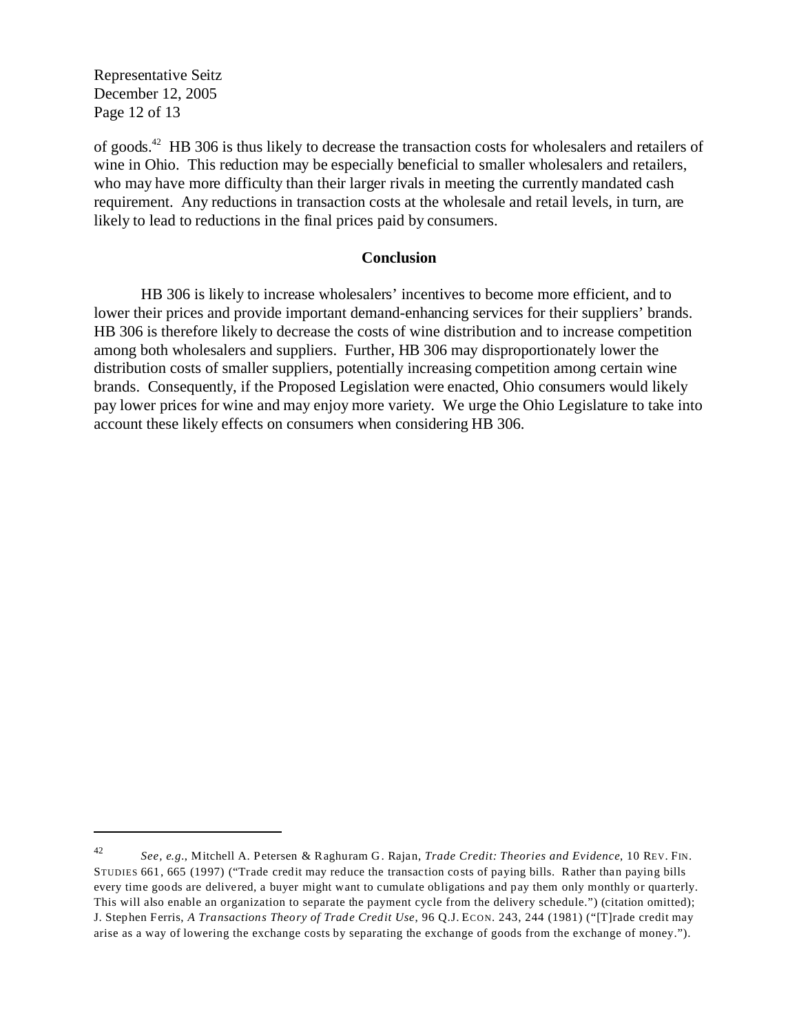Representative Seitz December 12, 2005 Page 12 of 13

of goods.42 HB 306 is thus likely to decrease the transaction costs for wholesalers and retailers of wine in Ohio. This reduction may be especially beneficial to smaller wholesalers and retailers, who may have more difficulty than their larger rivals in meeting the currently mandated cash requirement. Any reductions in transaction costs at the wholesale and retail levels, in turn, are likely to lead to reductions in the final prices paid by consumers.

#### **Conclusion**

HB 306 is likely to increase wholesalers' incentives to become more efficient, and to lower their prices and provide important demand-enhancing services for their suppliers' brands. HB 306 is therefore likely to decrease the costs of wine distribution and to increase competition among both wholesalers and suppliers. Further, HB 306 may disproportionately lower the distribution costs of smaller suppliers, potentially increasing competition among certain wine brands. Consequently, if the Proposed Legislation were enacted, Ohio consumers would likely pay lower prices for wine and may enjoy more variety. We urge the Ohio Legislature to take into account these likely effects on consumers when considering HB 306.

*See, e.g.*, Mitchell A. Petersen & Raghuram G. Rajan, *Trade Credit: Theories and Evidence*, 10 REV. FIN. STUDIES 661, 665 (1997) ("Trade credit may reduce the transaction costs of paying bills. Rather than paying bills every time goods are delivered, a buyer might want to cumulate obligations and pay them only monthly or quarterly. This will also enable an organization to separate the payment cycle from the delivery schedule.") (citation omitted); J. Stephen Ferris, *A Transactions Theory of Trade Credit Use*, 96 Q.J. ECON. 243, 244 (1981) ("[T]rade credit may arise as a way of lowering the exchange costs by separating the exchange of goods from the exchange of money."). 42